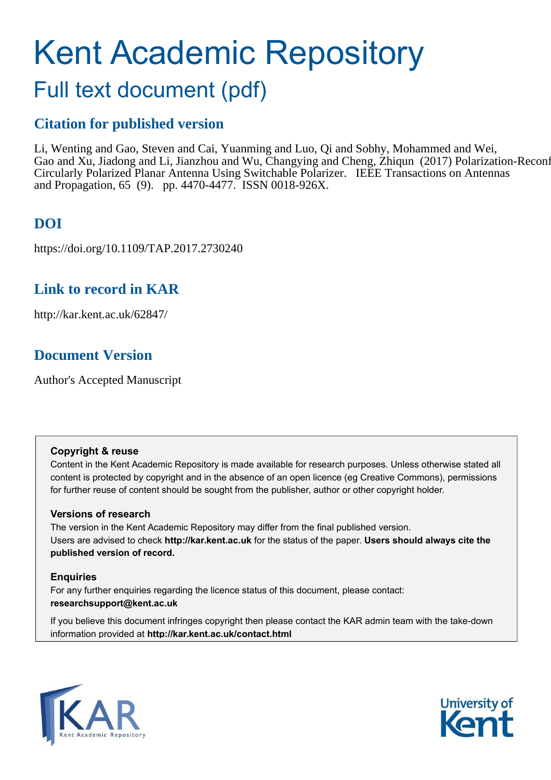# Kent Academic Repository

# Full text document (pdf)

## **Citation for published version**

Li, Wenting and Gao, Steven and Cai, Yuanming and Luo, Qi and Sobhy, Mohammed and Wei, Gao and Xu, Jiadong and Li, Jianzhou and Wu, Changying and Cheng, Zhiqun (2017) Polarization-Reconf Circularly Polarized Planar Antenna Using Switchable Polarizer. IEEE Transactions on Antennas and Propagation, 65 (9). pp. 4470-4477. ISSN 0018-926X.

# **DOI**

https://doi.org/10.1109/TAP.2017.2730240

## **Link to record in KAR**

http://kar.kent.ac.uk/62847/

## **Document Version**

Author's Accepted Manuscript

#### **Copyright & reuse**

Content in the Kent Academic Repository is made available for research purposes. Unless otherwise stated all content is protected by copyright and in the absence of an open licence (eg Creative Commons), permissions for further reuse of content should be sought from the publisher, author or other copyright holder.

#### **Versions of research**

The version in the Kent Academic Repository may differ from the final published version. Users are advised to check **http://kar.kent.ac.uk** for the status of the paper. **Users should always cite the published version of record.**

#### **Enquiries**

For any further enquiries regarding the licence status of this document, please contact: **researchsupport@kent.ac.uk**

If you believe this document infringes copyright then please contact the KAR admin team with the take-down information provided at **http://kar.kent.ac.uk/contact.html**



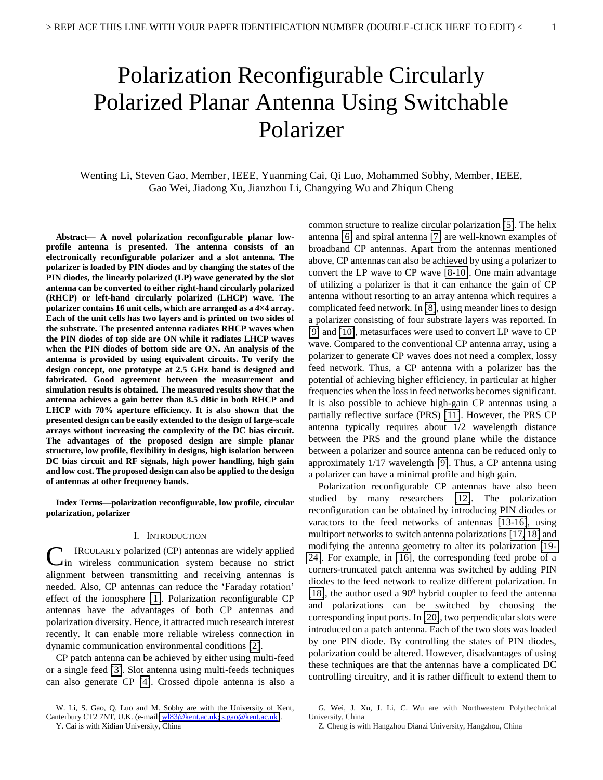# Polarization Reconfigurable Circularly Polarized Planar Antenna Using Switchable Polarizer

Wenting Li, Steven Gao, Member, IEEE, Yuanming Cai, Qi Luo, Mohammed Sobhy, Member, IEEE, Gao Wei, Jiadong Xu, Jianzhou Li, Changying Wu and Zhiqun Cheng

**Abstract— A novel polarization reconfigurable planar lowprofile antenna is presented. The antenna consists of an electronically reconfigurable polarizer and a slot antenna. The polarizer is loaded by PIN diodes and by changing the states of the PIN diodes, the linearly polarized (LP) wave generated by the slot antenna can be converted to either right-hand circularly polarized (RHCP) or left-hand circularly polarized (LHCP) wave. The polarizer contains 16 unit cells, which are arranged as a 4×4 array. Each of the unit cells has two layers and is printed on two sides of the substrate. The presented antenna radiates RHCP waves when the PIN diodes of top side are ON while it radiates LHCP waves when the PIN diodes of bottom side are ON. An analysis of the antenna is provided by using equivalent circuits. To verify the design concept, one prototype at 2.5 GHz band is designed and fabricated. Good agreement between the measurement and simulation results is obtained. The measured results show that the antenna achieves a gain better than 8.5 dBic in both RHCP and LHCP with 70% aperture efficiency. It is also shown that the presented design can be easily extended to the design of large-scale arrays without increasing the complexity of the DC bias circuit. The advantages of the proposed design are simple planar structure, low profile, flexibility in designs, high isolation between DC bias circuit and RF signals, high power handling, high gain and low cost. The proposed design can also be applied to the design of antennas at other frequency bands.** 

**Index Terms—polarization reconfigurable, low profile, circular polarization, polarizer** 

#### I. INTRODUCTION

IRCULARLY polarized (CP) antennas are widely applied **C** IRCULARLY polarized (CP) antennas are widely applied in wireless communication system because no strict alignment between transmitting and receiving antennas is needed. Also, CP antennas can reduce the 'Faraday rotation' effect of the ionosphere [\[1\]](#page-8-0). Polarization reconfigurable CP antennas have the advantages of both CP antennas and polarization diversity. Hence, it attracted much research interest recently. It can enable more reliable wireless connection in dynamic communication environmental conditions [\[2\]](#page-8-1).

CP patch antenna can be achieved by either using multi-feed or a single feed [\[3\]](#page-8-2). Slot antenna using multi-feeds techniques can also generate CP [\[4\]](#page-8-3). Crossed dipole antenna is also a

Y. Cai is with Xidian University, China

common structure to realize circular polarization [\[5\]](#page-8-4). The helix antenna [\[6\]](#page-8-5) and spiral antenna [\[7\]](#page-8-6) are well-known examples of broadband CP antennas. Apart from the antennas mentioned above, CP antennas can also be achieved by using a polarizer to convert the LP wave to CP wave [\[8-10\]](#page-8-7). One main advantage of utilizing a polarizer is that it can enhance the gain of CP antenna without resorting to an array antenna which requires a complicated feed network. In [\[8\]](#page-8-7), using meander lines to design a polarizer consisting of four substrate layers was reported. In [\[9\]](#page-8-8) and [\[10\]](#page-8-9), metasurfaces were used to convert LP wave to CP wave. Compared to the conventional CP antenna array, using a polarizer to generate CP waves does not need a complex, lossy feed network. Thus, a CP antenna with a polarizer has the potential of achieving higher efficiency, in particular at higher frequencies when the loss in feed networks becomes significant. It is also possible to achieve high-gain CP antennas using a partially reflective surface (PRS) [\[11\]](#page-8-10). However, the PRS CP antenna typically requires about 1/2 wavelength distance between the PRS and the ground plane while the distance between a polarizer and source antenna can be reduced only to approximately 1/17 wavelength [\[9\]](#page-8-8). Thus, a CP antenna using a polarizer can have a minimal profile and high gain.

Polarization reconfigurable CP antennas have also been studied by many researchers [\[12\]](#page-8-11). The polarization reconfiguration can be obtained by introducing PIN diodes or varactors to the feed networks of antennas [\[13-16\]](#page-8-12), using multiport networks to switch antenna polarizations [\[17,](#page-8-13) [18\]](#page-8-14) and modifying the antenna geometry to alter its polarization [\[19-](#page-8-15) [24\]](#page-8-15). For example, in [\[16\]](#page-8-16), the corresponding feed probe of a corners-truncated patch antenna was switched by adding PIN diodes to the feed network to realize different polarization. In [\[18\]](#page-8-14), the author used a  $90^0$  hybrid coupler to feed the antenna and polarizations can be switched by choosing the corresponding input ports. In [\[20\]](#page-8-17), two perpendicular slots were introduced on a patch antenna. Each of the two slots was loaded by one PIN diode. By controlling the states of PIN diodes, polarization could be altered. However, disadvantages of using these techniques are that the antennas have a complicated DC controlling circuitry, and it is rather difficult to extend them to

W. Li, S. Gao, Q. Luo and M. Sobhy are with the University of Kent, Canterbury CT2 7NT, U.K. (e-mail: w183@kent.ac.uk; [s.gao@kent.ac.uk\)](mailto:s.gao@kent.ac.uk).

G. Wei, J. Xu, J. Li, C. Wu are with Northwestern Polythechnical University, China

Z. Cheng is with Hangzhou Dianzi University, Hangzhou, China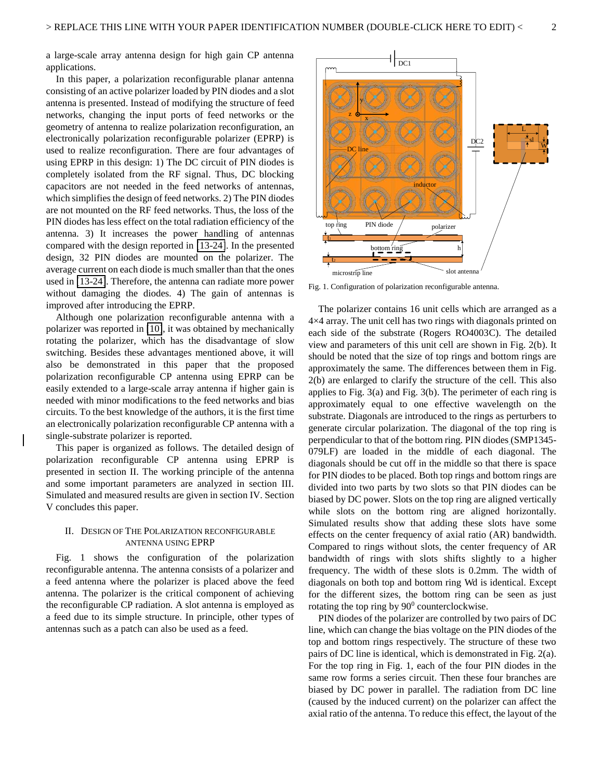a large-scale array antenna design for high gain CP antenna applications.

In this paper, a polarization reconfigurable planar antenna consisting of an active polarizer loaded by PIN diodes and a slot antenna is presented. Instead of modifying the structure of feed networks, changing the input ports of feed networks or the geometry of antenna to realize polarization reconfiguration, an electronically polarization reconfigurable polarizer (EPRP) is used to realize reconfiguration. There are four advantages of using EPRP in this design: 1) The DC circuit of PIN diodes is completely isolated from the RF signal. Thus, DC blocking capacitors are not needed in the feed networks of antennas, which simplifies the design of feed networks. 2) The PIN diodes are not mounted on the RF feed networks. Thus, the loss of the PIN diodes has less effect on the total radiation efficiency of the antenna. 3) It increases the power handling of antennas compared with the design reported in [\[13-24\]](#page-8-12). In the presented design, 32 PIN diodes are mounted on the polarizer. The average current on each diode is much smaller than that the ones used in [\[13-24\]](#page-8-12). Therefore, the antenna can radiate more power without damaging the diodes. 4) The gain of antennas is improved after introducing the EPRP.

Although one polarization reconfigurable antenna with a polarizer was reported in [\[10\]](#page-8-9), it was obtained by mechanically rotating the polarizer, which has the disadvantage of slow switching. Besides these advantages mentioned above, it will also be demonstrated in this paper that the proposed polarization reconfigurable CP antenna using EPRP can be easily extended to a large-scale array antenna if higher gain is needed with minor modifications to the feed networks and bias circuits. To the best knowledge of the authors, it is the first time an electronically polarization reconfigurable CP antenna with a single-substrate polarizer is reported.

This paper is organized as follows. The detailed design of polarization reconfigurable CP antenna using EPRP is presented in section II. The working principle of the antenna and some important parameters are analyzed in section III. Simulated and measured results are given in section IV. Section V concludes this paper.

#### II. DESIGN OF THE POLARIZATION RECONFIGURABLE ANTENNA USING EPRP

Fig. 1 shows the configuration of the polarization reconfigurable antenna. The antenna consists of a polarizer and a feed antenna where the polarizer is placed above the feed antenna. The polarizer is the critical component of achieving the reconfigurable CP radiation. A slot antenna is employed as a feed due to its simple structure. In principle, other types of antennas such as a patch can also be used as a feed.



Fig. 1. Configuration of polarization reconfigurable antenna.

The polarizer contains 16 unit cells which are arranged as a 4×4 array. The unit cell has two rings with diagonals printed on each side of the substrate (Rogers RO4003C). The detailed view and parameters of this unit cell are shown in Fig. 2(b). It should be noted that the size of top rings and bottom rings are approximately the same. The differences between them in Fig. 2(b) are enlarged to clarify the structure of the cell. This also applies to Fig. 3(a) and Fig. 3(b). The perimeter of each ring is approximately equal to one effective wavelength on the substrate. Diagonals are introduced to the rings as perturbers to generate circular polarization. The diagonal of the top ring is perpendicular to that of the bottom ring. PIN diodes (SMP1345- 079LF) are loaded in the middle of each diagonal. The diagonals should be cut off in the middle so that there is space for PIN diodes to be placed. Both top rings and bottom rings are divided into two parts by two slots so that PIN diodes can be biased by DC power. Slots on the top ring are aligned vertically while slots on the bottom ring are aligned horizontally. Simulated results show that adding these slots have some effects on the center frequency of axial ratio (AR) bandwidth. Compared to rings without slots, the center frequency of AR bandwidth of rings with slots shifts slightly to a higher frequency. The width of these slots is 0.2mm. The width of diagonals on both top and bottom ring Wd is identical. Except for the different sizes, the bottom ring can be seen as just rotating the top ring by  $90^0$  counterclockwise.

PIN diodes of the polarizer are controlled by two pairs of DC line, which can change the bias voltage on the PIN diodes of the top and bottom rings respectively. The structure of these two pairs of DC line is identical, which is demonstrated in Fig. 2(a). For the top ring in Fig. 1, each of the four PIN diodes in the same row forms a series circuit. Then these four branches are biased by DC power in parallel. The radiation from DC line (caused by the induced current) on the polarizer can affect the axial ratio of the antenna. To reduce this effect, the layout of the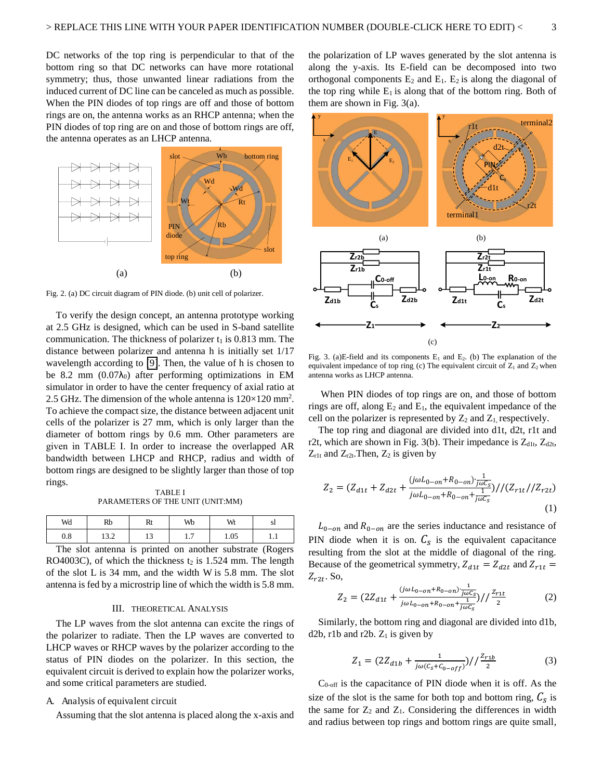DC networks of the top ring is perpendicular to that of the bottom ring so that DC networks can have more rotational symmetry; thus, those unwanted linear radiations from the induced current of DC line can be canceled as much as possible. When the PIN diodes of top rings are off and those of bottom rings are on, the antenna works as an RHCP antenna; when the PIN diodes of top ring are on and those of bottom rings are off, the antenna operates as an LHCP antenna.



Fig. 2. (a) DC circuit diagram of PIN diode. (b) unit cell of polarizer.

To verify the design concept, an antenna prototype working at 2.5 GHz is designed, which can be used in S-band satellite communication. The thickness of polarizer  $t_1$  is 0.813 mm. The distance between polarizer and antenna h is initially set 1/17 wavelength according to [\[9\]](#page-8-8). Then, the value of h is chosen to be 8.2 mm  $(0.07\lambda_0)$  after performing optimizations in EM simulator in order to have the center frequency of axial ratio at 2.5 GHz. The dimension of the whole antenna is  $120 \times 120$  mm<sup>2</sup>. To achieve the compact size, the distance between adjacent unit cells of the polarizer is 27 mm, which is only larger than the diameter of bottom rings by 0.6 mm. Other parameters are given in TABLE I. In order to increase the overlapped AR bandwidth between LHCP and RHCP, radius and width of bottom rings are designed to be slightly larger than those of top rings.

TABLE 』 PARAMETERS OF THE UNIT (UNIT:MM)

| Wd              | Rb                                               | w             | Wb                       | Wt     | $\mathbf{p}$                               |
|-----------------|--------------------------------------------------|---------------|--------------------------|--------|--------------------------------------------|
| $\Omega$<br>v.o | $\sim$ $\sim$<br>1.3.4                           |               | -<br>$\cdot$ .           | 1.05   | 1.1                                        |
| -               | $\sim$ $\sim$ $\sim$ $\sim$ $\sim$ $\sim$ $\sim$ | $\sim$ $\sim$ | $\overline{\phantom{a}}$ | $\sim$ | <b>Contract Contract Contract Contract</b> |

The slot antenna is printed on another substrate (Rogers RO4003C), of which the thickness  $t_2$  is 1.524 mm. The length of the slot L is 34 mm, and the width W is 5.8 mm. The slot antenna is fed by a microstrip line of which the width is 5.8 mm.

#### III. THEORETICAL ANALYSIS

The LP waves from the slot antenna can excite the rings of the polarizer to radiate. Then the LP waves are converted to LHCP waves or RHCP waves by the polarizer according to the status of PIN diodes on the polarizer. In this section, the equivalent circuit is derived to explain how the polarizer works, and some critical parameters are studied.

#### A. Analysis of equivalent circuit

Assuming that the slot antenna is placed along the x-axis and

the polarization of LP waves generated by the slot antenna is along the y-axis. Its E-field can be decomposed into two orthogonal components  $E_2$  and  $E_1$ .  $E_2$  is along the diagonal of the top ring while  $E_1$  is along that of the bottom ring. Both of them are shown in Fig. 3(a).



Fig. 3. (a)E-field and its components  $E_1$  and  $E_2$ . (b) The explanation of the equivalent impedance of top ring (c) The equivalent circuit of  $Z_1$  and  $Z_2$  when antenna works as LHCP antenna.

 When PIN diodes of top rings are on, and those of bottom rings are off, along  $E_2$  and  $E_1$ , the equivalent impedance of the cell on the polarizer is represented by  $Z_2$  and  $Z_1$  respectively.

The top ring and diagonal are divided into d1t, d2t, r1t and r2t, which are shown in Fig. 3(b). Their impedance is  $Z_{d1t}$ ,  $Z_{d2t}$ ,  $Z_{r1t}$  and  $Z_{r2t}$ . Then,  $Z_2$  is given by

$$
Z_2 = (Z_{d1t} + Z_{d2t} + \frac{(j\omega L_{0-on} + R_{0-on}) \frac{1}{j\omega C_S}}{j\omega L_{0-on} + R_{0-on} + \frac{1}{j\omega C_S}}) / (Z_{r1t} / Z_{r2t})
$$
\n(1)

 $L_{0-on}$  and  $R_{0-on}$  are the series inductance and resistance of PIN diode when it is on.  $C_s$  is the equivalent capacitance resulting from the slot at the middle of diagonal of the ring. Because of the geometrical symmetry,  $Z_{d1t} = Z_{d2t}$  and  $Z_{r1t} =$  $Z_{r2t}$ . So,

$$
Z_2 = \left(2Z_{d1t} + \frac{(j\omega L_{0-on} + R_{0-on})\frac{1}{j\omega C_s}}{j\omega L_{0-on} + R_{0-on} + \frac{1}{j\omega C_s}}\right) / \frac{Z_{r1t}}{2}
$$
(2)

Similarly, the bottom ring and diagonal are divided into d1b, d2b, r1b and r2b.  $Z_1$  is given by

$$
Z_1 = (2Z_{d1b} + \frac{1}{j\omega(c_s + c_{0-off})})/(\frac{z_{r1b}}{2})
$$
 (3)

 $C_{0\text{-off}}$  is the capacitance of PIN diode when it is off. As the size of the slot is the same for both top and bottom ring,  $C_s$  is the same for  $Z_2$  and  $Z_1$ . Considering the differences in width and radius between top rings and bottom rings are quite small,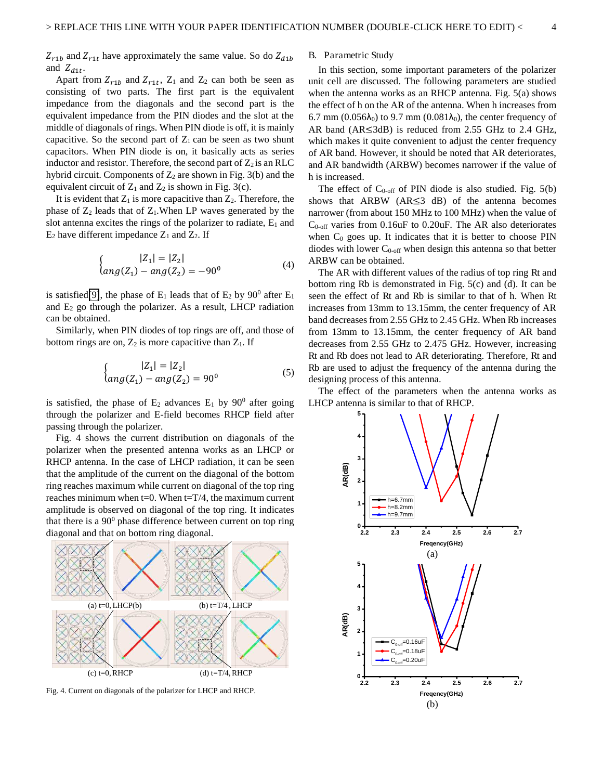$Z_{r1b}$  and  $Z_{r1t}$  have approximately the same value. So do  $Z_{d1b}$ and  $Z_{d1t}$ .

Apart from  $Z_{r1b}$  and  $Z_{r1t}$ ,  $Z_1$  and  $Z_2$  can both be seen as consisting of two parts. The first part is the equivalent impedance from the diagonals and the second part is the equivalent impedance from the PIN diodes and the slot at the middle of diagonals of rings. When PIN diode is off, it is mainly capacitive. So the second part of  $Z_1$  can be seen as two shunt capacitors. When PIN diode is on, it basically acts as series inductor and resistor. Therefore, the second part of  $Z_2$  is an RLC hybrid circuit. Components of  $Z_2$  are shown in Fig. 3(b) and the equivalent circuit of  $Z_1$  and  $Z_2$  is shown in Fig. 3(c).

It is evident that  $Z_1$  is more capacitive than  $Z_2$ . Therefore, the phase of  $Z_2$  leads that of  $Z_1$ . When LP waves generated by the slot antenna excites the rings of the polarizer to radiate,  $E_1$  and  $E_2$  have different impedance  $Z_1$  and  $Z_2$ . If

$$
\begin{cases}\n|Z_1| = |Z_2| \\
\text{ang}(Z_1) - \text{ang}(Z_2) = -90^\circ\n\end{cases} \tag{4}
$$

is satisfied[\[9\]](#page-8-8), the phase of  $E_1$  leads that of  $E_2$  by  $90^0$  after  $E_1$ and  $E_2$  go through the polarizer. As a result, LHCP radiation can be obtained.

Similarly, when PIN diodes of top rings are off, and those of bottom rings are on,  $Z_2$  is more capacitive than  $Z_1$ . If

$$
\begin{cases}\n|Z_1| = |Z_2| \\
\text{ang}(Z_1) - \text{ang}(Z_2) = 90^\circ\n\end{cases} \tag{5}
$$

is satisfied, the phase of  $E_2$  advances  $E_1$  by  $90^0$  after going through the polarizer and E-field becomes RHCP field after passing through the polarizer.

Fig. 4 shows the current distribution on diagonals of the polarizer when the presented antenna works as an LHCP or RHCP antenna. In the case of LHCP radiation, it can be seen that the amplitude of the current on the diagonal of the bottom ring reaches maximum while current on diagonal of the top ring reaches minimum when  $t=0$ . When  $t=T/4$ , the maximum current amplitude is observed on diagonal of the top ring. It indicates that there is a  $90^0$  phase difference between current on top ring diagonal and that on bottom ring diagonal.



Fig. 4. Current on diagonals of the polarizer for LHCP and RHCP.

#### B. Parametric Study

In this section, some important parameters of the polarizer unit cell are discussed. The following parameters are studied when the antenna works as an RHCP antenna. Fig. 5(a) shows the effect of h on the AR of the antenna. When h increases from 6.7 mm (0.056 $\lambda_0$ ) to 9.7 mm (0.081 $\lambda_0$ ), the center frequency of AR band ( $AR \leq 3dB$ ) is reduced from 2.55 GHz to 2.4 GHz, which makes it quite convenient to adjust the center frequency of AR band. However, it should be noted that AR deteriorates, and AR bandwidth (ARBW) becomes narrower if the value of h is increased.

The effect of  $C_{0\text{-off}}$  of PIN diode is also studied. Fig. 5(b) shows that ARBW  $(AR \leq 3$  dB) of the antenna becomes narrower (from about 150 MHz to 100 MHz) when the value of  $C_{0\text{-off}}$  varies from 0.16uF to 0.20uF. The AR also deteriorates when  $C_0$  goes up. It indicates that it is better to choose PIN diodes with lower  $C_{0\text{-off}}$  when design this antenna so that better ARBW can be obtained.

The AR with different values of the radius of top ring Rt and bottom ring Rb is demonstrated in Fig. 5(c) and (d). It can be seen the effect of Rt and Rb is similar to that of h. When Rt increases from 13mm to 13.15mm, the center frequency of AR band decreases from 2.55 GHz to 2.45 GHz. When Rb increases from 13mm to 13.15mm, the center frequency of AR band decreases from 2.55 GHz to 2.475 GHz. However, increasing Rt and Rb does not lead to AR deteriorating. Therefore, Rt and Rb are used to adjust the frequency of the antenna during the designing process of this antenna.

The effect of the parameters when the antenna works as LHCP antenna is similar to that of RHCP.

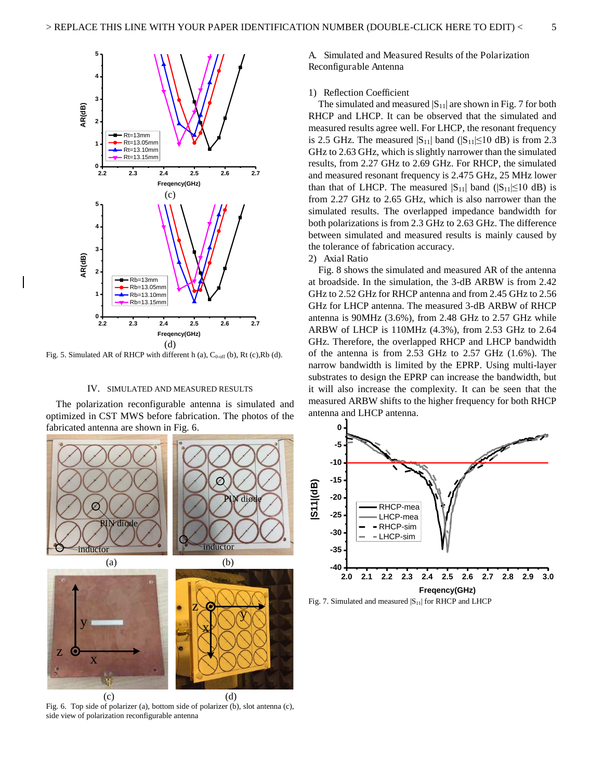

Fig. 5. Simulated AR of RHCP with different h (a),  $C_{0 \text{-off}}$  (b), Rt (c),Rb (d).

#### IV. SIMULATED AND MEASURED RESULTS

The polarization reconfigurable antenna is simulated and optimized in CST MWS before fabrication. The photos of the fabricated antenna are shown in Fig. 6.



Fig. 6. Top side of polarizer (a), bottom side of polarizer (b), slot antenna (c), side view of polarization reconfigurable antenna

A. Simulated and Measured Results of the Polarization Reconfigurable Antenna

#### 1) Reflection Coefficient

The simulated and measured  $|S_{11}|$  are shown in Fig. 7 for both RHCP and LHCP. It can be observed that the simulated and measured results agree well. For LHCP, the resonant frequency is 2.5 GHz. The measured  $|S_{11}|$  band  $(|S_{11}| \le 10$  dB) is from 2.3 GHz to 2.63 GHz, which is slightly narrower than the simulated results, from 2.27 GHz to 2.69 GHz. For RHCP, the simulated and measured resonant frequency is 2.475 GHz, 25 MHz lower than that of LHCP. The measured  $|S_{11}|$  band  $(|S_{11}| \le 10$  dB) is from 2.27 GHz to 2.65 GHz, which is also narrower than the simulated results. The overlapped impedance bandwidth for both polarizations is from 2.3 GHz to 2.63 GHz. The difference between simulated and measured results is mainly caused by the tolerance of fabrication accuracy.

#### 2) Axial Ratio

Fig. 8 shows the simulated and measured AR of the antenna at broadside. In the simulation, the 3-dB ARBW is from 2.42 GHz to 2.52 GHz for RHCP antenna and from 2.45 GHz to 2.56 GHz for LHCP antenna. The measured 3-dB ARBW of RHCP antenna is 90MHz (3.6%), from 2.48 GHz to 2.57 GHz while ARBW of LHCP is 110MHz (4.3%), from 2.53 GHz to 2.64 GHz. Therefore, the overlapped RHCP and LHCP bandwidth of the antenna is from 2.53 GHz to 2.57 GHz (1.6%). The narrow bandwidth is limited by the EPRP. Using multi-layer substrates to design the EPRP can increase the bandwidth, but it will also increase the complexity. It can be seen that the measured ARBW shifts to the higher frequency for both RHCP antenna and LHCP antenna.



Fig. 7. Simulated and measured  $|S_{11}|$  for RHCP and LHCP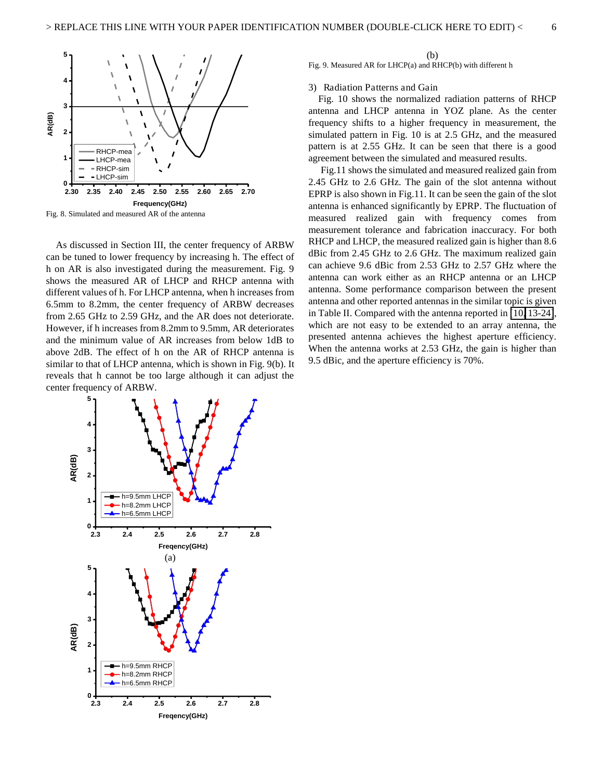

Fig. 8. Simulated and measured AR of the antenna

As discussed in Section III, the center frequency of ARBW can be tuned to lower frequency by increasing h. The effect of h on AR is also investigated during the measurement. Fig. 9 shows the measured AR of LHCP and RHCP antenna with different values of h. For LHCP antenna, when h increases from 6.5mm to 8.2mm, the center frequency of ARBW decreases from 2.65 GHz to 2.59 GHz, and the AR does not deteriorate. However, if h increases from 8.2mm to 9.5mm, AR deteriorates and the minimum value of AR increases from below 1dB to above 2dB. The effect of h on the AR of RHCP antenna is similar to that of LHCP antenna, which is shown in Fig. 9(b). It reveals that h cannot be too large although it can adjust the center frequency of ARBW.



(b) Fig. 9. Measured AR for LHCP(a) and RHCP(b) with different h

#### 3) Radiation Patterns and Gain

Fig. 10 shows the normalized radiation patterns of RHCP antenna and LHCP antenna in YOZ plane. As the center frequency shifts to a higher frequency in measurement, the simulated pattern in Fig. 10 is at 2.5 GHz, and the measured pattern is at 2.55 GHz. It can be seen that there is a good agreement between the simulated and measured results.

 Fig.11 shows the simulated and measured realized gain from 2.45 GHz to 2.6 GHz. The gain of the slot antenna without EPRP is also shown in Fig.11. It can be seen the gain of the slot antenna is enhanced significantly by EPRP. The fluctuation of measured realized gain with frequency comes from measurement tolerance and fabrication inaccuracy. For both RHCP and LHCP, the measured realized gain is higher than 8.6 dBic from 2.45 GHz to 2.6 GHz. The maximum realized gain can achieve 9.6 dBic from 2.53 GHz to 2.57 GHz where the antenna can work either as an RHCP antenna or an LHCP antenna. Some performance comparison between the present antenna and other reported antennas in the similar topic is given in Table II. Compared with the antenna reported in [\[10,](#page-8-9) [13-24\]](#page-8-12), which are not easy to be extended to an array antenna, the presented antenna achieves the highest aperture efficiency. When the antenna works at 2.53 GHz, the gain is higher than 9.5 dBic, and the aperture efficiency is 70%.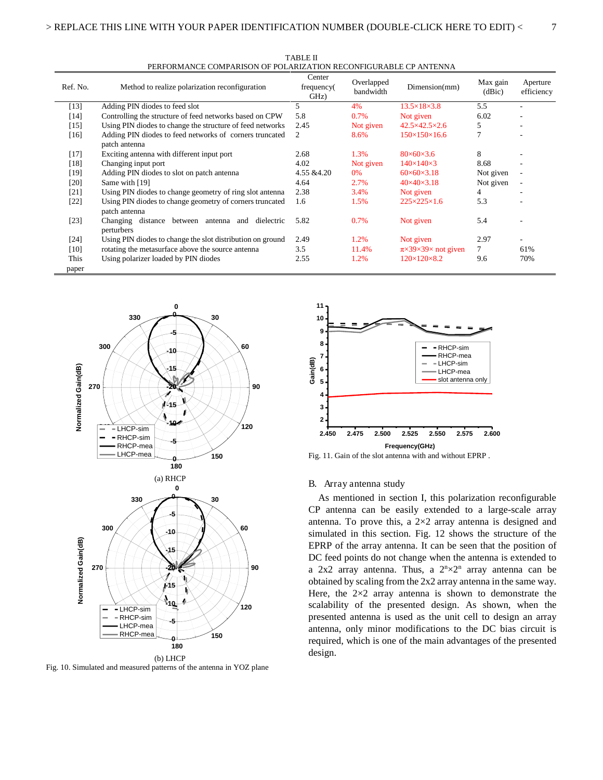| PERFORMANCE COMPARISON OF POLARIZATION RECONFIGURABLE CP ANTENNA |                                                                           |                              |                         |                                            |                    |                          |  |  |  |  |
|------------------------------------------------------------------|---------------------------------------------------------------------------|------------------------------|-------------------------|--------------------------------------------|--------------------|--------------------------|--|--|--|--|
| Ref. No.                                                         | Method to realize polarization reconfiguration                            | Center<br>frequency(<br>GHz) | Overlapped<br>bandwidth | Dimension(mm)                              | Max gain<br>(dBic) | Aperture<br>efficiency   |  |  |  |  |
| $[13]$                                                           | Adding PIN diodes to feed slot                                            | 5                            | 4%                      | $13.5\times18\times3.8$                    | 5.5                |                          |  |  |  |  |
| [14]                                                             | Controlling the structure of feed networks based on CPW                   | 5.8                          | 0.7%                    | Not given                                  | 6.02               |                          |  |  |  |  |
| $[15]$                                                           | Using PIN diodes to change the structure of feed networks                 | 2.45                         | Not given               | $42.5\times42.5\times2.6$                  | 5                  |                          |  |  |  |  |
| $[16]$                                                           | Adding PIN diodes to feed networks of corners truncated<br>patch antenna  | 2                            | 8.6%                    | $150\times150\times16.6$                   | 7                  |                          |  |  |  |  |
| $[17]$                                                           | Exciting antenna with different input port                                | 2.68                         | 1.3%                    | $80\times 60\times 3.6$                    | 8                  |                          |  |  |  |  |
| $[18]$                                                           | Changing input port                                                       | 4.02                         | Not given               | $140\times140\times3$                      | 8.68               |                          |  |  |  |  |
| [19]                                                             | Adding PIN diodes to slot on patch antenna                                | 4.55 & 4.20                  | 0%                      | $60\times 60\times 3.18$                   | Not given          | $\overline{\phantom{a}}$ |  |  |  |  |
| [20]                                                             | Same with [19]                                                            | 4.64                         | 2.7%                    | $40\times40\times3.18$                     | Not given          | $\overline{a}$           |  |  |  |  |
| [21]                                                             | Using PIN diodes to change geometry of ring slot antenna                  | 2.38                         | 3.4%                    | Not given                                  | 4                  |                          |  |  |  |  |
| $[22]$                                                           | Using PIN diodes to change geometry of corners truncated<br>patch antenna | 1.6                          | 1.5%                    | $225 \times 225 \times 1.6$                | 5.3                |                          |  |  |  |  |
| $[23]$                                                           | Changing distance between<br>dielectric<br>antenna and<br>perturbers      | 5.82                         | 0.7%                    | Not given                                  | 5.4                | ٠                        |  |  |  |  |
| [24]                                                             | Using PIN diodes to change the slot distribution on ground                | 2.49                         | 1.2%                    | Not given                                  | 2.97               |                          |  |  |  |  |
| $[10]$                                                           | rotating the metasurface above the source antenna                         | 3.5                          | 11.4%                   | $\pi \times 39 \times 39 \times$ not given | $\tau$             | 61%                      |  |  |  |  |
| This                                                             | Using polarizer loaded by PIN diodes                                      | 2.55                         | 1.2%                    | $120\times120\times8.2$                    | 9.6                | 70%                      |  |  |  |  |
| paper                                                            |                                                                           |                              |                         |                                            |                    |                          |  |  |  |  |

TABLE II PERFORMANCE COMPARISON OF POLARIZATION RECONFIGURABLE CP ANTENNA



Fig. 10. Simulated and measured patterns of the antenna in YOZ plane



Fig. 11. Gain of the slot antenna with and without EPRP .

#### B. Array antenna study

As mentioned in section I, this polarization reconfigurable CP antenna can be easily extended to a large-scale array antenna. To prove this, a 2×2 array antenna is designed and simulated in this section. Fig. 12 shows the structure of the EPRP of the array antenna. It can be seen that the position of DC feed points do not change when the antenna is extended to a  $2x2$  array antenna. Thus, a  $2^{n} \times 2^{n}$  array antenna can be obtained by scaling from the 2x2 array antenna in the same way. Here, the  $2\times2$  array antenna is shown to demonstrate the scalability of the presented design. As shown, when the presented antenna is used as the unit cell to design an array antenna, only minor modifications to the DC bias circuit is required, which is one of the main advantages of the presented design.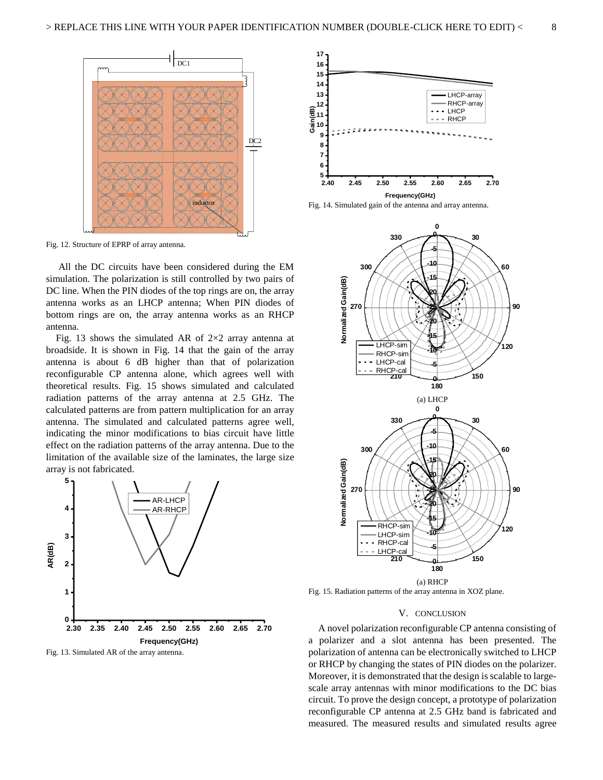

<span id="page-8-4"></span><span id="page-8-3"></span><span id="page-8-2"></span><span id="page-8-1"></span><span id="page-8-0"></span>Fig. 12. Structure of EPRP of array antenna.

<span id="page-8-6"></span><span id="page-8-5"></span> All the DC circuits have been considered during the EM simulation. The polarization is still controlled by two pairs of DC line. When the PIN diodes of the top rings are on, the array antenna works as an LHCP antenna; When PIN diodes of bottom rings are on, the array antenna works as an RHCP antenna.

<span id="page-8-10"></span><span id="page-8-9"></span><span id="page-8-8"></span><span id="page-8-7"></span>Fig. 13 shows the simulated AR of  $2\times 2$  array antenna at broadside. It is shown in Fig. 14 that the gain of the array antenna is about 6 dB higher than that of polarization reconfigurable CP antenna alone, which agrees well with theoretical results. Fig. 15 shows simulated and calculated radiation patterns of the array antenna at 2.5 GHz. The calculated patterns are from pattern multiplication for an array antenna. The simulated and calculated patterns agree well, indicating the minor modifications to bias circuit have little effect on the radiation patterns of the array antenna. Due to the limitation of the available size of the laminates, the large size array is not fabricated.

<span id="page-8-16"></span><span id="page-8-12"></span><span id="page-8-11"></span>

<span id="page-8-17"></span><span id="page-8-15"></span><span id="page-8-14"></span><span id="page-8-13"></span>







Fig. 15. Radiation patterns of the array antenna in XOZ plane.

#### V. CONCLUSION

A novel polarization reconfigurable CP antenna consisting of a polarizer and a slot antenna has been presented. The polarization of antenna can be electronically switched to LHCP or RHCP by changing the states of PIN diodes on the polarizer. Moreover, it is demonstrated that the design is scalable to largescale array antennas with minor modifications to the DC bias circuit. To prove the design concept, a prototype of polarization reconfigurable CP antenna at 2.5 GHz band is fabricated and measured. The measured results and simulated results agree